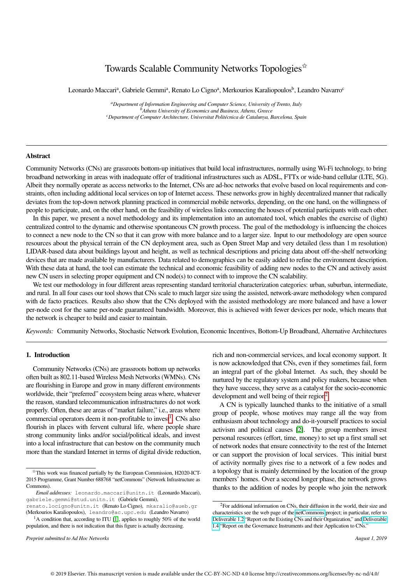# Towards Scalable Community Networks Topologies  $\hat{z}$

Leonardo Maccari<sup>a</sup>, Gabriele Gemmi<sup>a</sup>, Renato Lo Cigno<sup>a</sup>, Merkourios Karaliopoulos<sup>b</sup>, Leandro Navarro<sup>c</sup>

*<sup>a</sup>Department of Information Engineering and Computer Science, University of Trento, Italy <sup>b</sup>Athens University of Economics and Business, Athens, Greece <sup>c</sup>Department of Computer Architecture, Universitat Politecnica de Catalunya, Barcelona, Spain ´*

## Abstract

Community Networks (CNs) are grassroots bottom-up initiatives that build local infrastructures, normally using Wi-Fi technology, to bring broadband networking in areas with inadequate offer of traditional infrastructures such as ADSL, FTTx or wide-band cellular (LTE, 5G). Albeit they normally operate as access networks to the Internet, CNs are ad-hoc networks that evolve based on local requirements and constraints, often including additional local services on top of Internet access. These networks grow in highly decentralized manner that radically deviates from the top-down network planning practiced in commercial mobile networks, depending, on the one hand, on the willingness of people to participate, and, on the other hand, on the feasibility of wireless links connecting the houses of potential participants with each other.

In this paper, we present a novel methodology and its implementation into an automated tool, which enables the exercise of (light) centralized control to the dynamic and otherwise spontaneous CN growth process. The goal of the methodology is influencing the choices to connect a new node to the CN so that it can grow with more balance and to a larger size. Input to our methodology are open source resources about the physical terrain of the CN deployment area, such as Open Street Map and very detailed (less than 1 m resolution) LIDAR-based data about buildings layout and height, as well as technical descriptions and pricing data about off-the-shelf networking devices that are made available by manufacturers. Data related to demographics can be easily added to refine the environment description. With these data at hand, the tool can estimate the technical and economic feasibility of adding new nodes to the CN and actively assist new CN users in selecting proper equipment and CN node(s) to connect with to improve the CN scalability.

We test our methodology in four different areas representing standard territorial characterization categories: urban, suburban, intermediate, and rural. In all four cases our tool shows that CNs scale to much larger size using the assisted, network-aware methodology when compared with de facto practices. Results also show that the CNs deployed with the assisted methodology are more balanced and have a lower per-node cost for the same per-node guaranteed bandwidth. Moreover, this is achieved with fewer devices per node, which means that the network is cheaper to build and easier to maintain.

*Keywords:* Community Networks, Stochastic Network Evolution, Economic Incentives, Bottom-Up Broadband, Alternative Architectures

## 1. Introduction

Community Networks (CNs) are grassroots bottom up networks often built as 802.11-based Wireless Mesh Networks (WMNs). CNs are flourishing in Europe and grow in many different environments worldwide, their "preferred" ecosystem being areas where, whatever the reason, standard telecommunication infrastructures do not work properly. Often, these are areas of "market failure," i.e., areas where commercial operators deem it non-profitable to invest<sup>[1](#page-0-0)</sup>. CNs also flourish in places with fervent cultural life, where people share strong community links and/or social/political ideals, and invest into a local infrastructure that can bestow on the community much more than the standard Internet in terms of digital divide reduction, rich and non-commercial services, and local economy support. It is now acknowledged that CNs, even if they sometimes fail, form an integral part of the global Internet. As such, they should be nurtured by the regulatory system and policy makers, because when they have success, they serve as a catalyst for the socio-economic development and well being of their region<sup>[2](#page-0-1)</sup>.

A CN is typically launched thanks to the initiative of a small group of people, whose motives may range all the way from enthusiasm about technology and do-it-yourself practices to social activism and political causes [\[2\]](#page-13-1). The group members invest personal resources (effort, time, money) to set up a first small set of network nodes that ensure connectivity to the rest of the Internet or can support the provision of local services. This initial burst of activity normally gives rise to a network of a few nodes and a topology that is mainly determined by the location of the group members' homes. Over a second longer phase, the network grows thanks to the addition of nodes by people who join the network

<sup>✩</sup>This work was financed partially by the European Commission, H2020-ICT-2015 Programme, Grant Number 688768 "netCommons" (Network Infrastructure as Commons).

*Email addresses:* leonardo.maccari@unitn.it (Leonardo Maccari), gabriele.gemmi@stud.unitn.it (Gabriele Gemmi), renato.locigno@unitn.it (Renato Lo Cigno), mkaralio@aueb.gr

<sup>(</sup>Merkourios Karaliopoulos), leandro@ac.upc.edu (Leandro Navarro)

<span id="page-0-0"></span><sup>&</sup>lt;sup>1</sup>A condition that, according to ITU [\[1\]](#page-13-0), applies to roughly 50% of the world population, and there is not indication that this figure is actually decreasing.

<span id="page-0-1"></span><sup>2</sup>For additional information on CNs, their diffusion in the world, their size and characteristics see the web page of the [netCommons](https://netcommons.eu) project; in particular, refer to [Deliverable 1.2](https://netcommons.eu/?q=content/report-existing-cns-and-their-organization-v2) "Report on the Existing CNs and their Organization," and [Deliverable](https://netcommons.eu/?q=content/report-governance-instruments-and-their-application-cns-v2) [1.4](https://netcommons.eu/?q=content/report-governance-instruments-and-their-application-cns-v2) "Report on the Governance Instruments and their Application to CNs."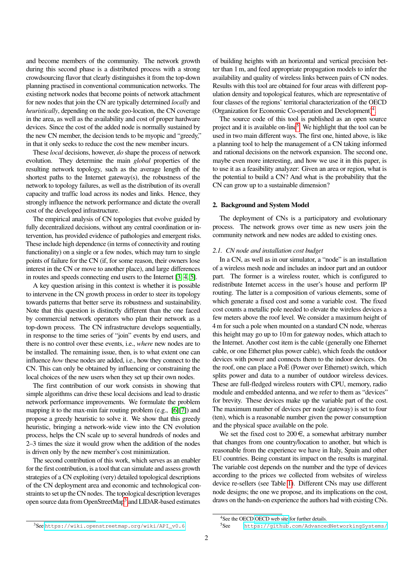and become members of the community. The network growth during this second phase is a distributed process with a strong crowdsourcing flavor that clearly distinguishes it from the top-down planning practised in conventional communication networks. The existing network nodes that become points of network attachment for new nodes that join the CN are typically determined *locally* and *heuristically*, depending on the node geo-location, the CN coverage in the area, as well as the availability and cost of proper hardware devices. Since the cost of the added node is normally sustained by the new CN member, the decision tends to be myopic and "greedy," in that it only seeks to reduce the cost the new member incurs.

These *local* decisions, however, *do* shape the process of network evolution. They determine the main *global* properties of the resulting network topology, such as the average length of the shortest paths to the Internet gateway(s), the robustness of the network to topology failures, as well as the distribution of its overall capacity and traffic load across its nodes and links. Hence, they strongly influence the network performance and dictate the overall cost of the developed infrastructure.

The empirical analysis of CN topologies that evolve guided by fully decentralized decisions, without any central coordination or intervention, has provided evidence of pathologies and emergent risks. These include high dependence (in terms of connectivity and routing functionality) on a single or a few nodes, which may turn to single points of failure for the CN (if, for some reason, their owners lose interest in the CN or move to another place), and large differences in routes and speeds connecting end users to the Internet [\[3,](#page-13-2) [4,](#page-13-3) [5\]](#page-13-4).

A key question arising in this context is whether it is possible to intervene in the CN growth process in order to steer its topology towards patterns that better serve its robustness and sustainability. Note that this question is distinctly different than the one faced by commercial network operators who plan their network as a top-down process. The CN infrastructure develops sequentially, in response to the time series of "join" events by end users, and there is no control over these events, i.e., *where* new nodes are to be installed. The remaining issue, then, is to what extent one can influence *how* these nodes are added, i.e., how they connect to the CN. This can only be obtained by influencing or constraining the local choices of the new users when they set up their own nodes.

The first contribution of our work consists in showing that simple algorithms can drive these local decisions and lead to drastic network performance improvements. We formulate the problem mapping it to the max-min fair routing problem (e.g., [\[6\]](#page-13-5)[\[7\]](#page-13-6)) and propose a greedy heuristic to solve it. We show that this greedy heuristic, bringing a network-wide view into the CN evolution process, helps the CN scale up to several hundreds of nodes and 2–3 times the size it would grow when the addition of the nodes is driven only by the new member's cost minimization.

The second contribution of this work, which serves as an enabler for the first contribution, is a tool that can simulate and assess growth strategies of a CN exploiting (very) detailed topological descriptions of the CN deployment area and economic and technological constraints to set up the CN nodes. The topological description leverages open source data from OpenStreetMap<sup>[3](#page-1-0)</sup> and LIDAR-based estimates

of building heights with an horizontal and vertical precision better than 1 m, and feed appropriate propagation models to infer the availability and quality of wireless links between pairs of CN nodes. Results with this tool are obtained for four areas with different population density and topological features, which are representative of four classes of the regions' territorial characterization of the OECD (Organization for Economic Co-operation and Development)[4](#page-1-1) .

The source code of this tool is published as an open source project and it is available on-line<sup>[5](#page-1-2)</sup>. We highlight that the tool can be used in two main different ways. The first one, hinted above, is like a planning tool to help the management of a CN taking informed and rational decisions on the network expansion. The second one, maybe even more interesting, and how we use it in this paper, is to use it as a feasibility analyzer: Given an area or region, what is the potential to build a CN? And what is the probability that the CN can grow up to a sustainable dimension?

#### 2. Background and System Model

The deployment of CNs is a participatory and evolutionary process. The network grows over time as new users join the community network and new nodes are added to existing ones.

#### *2.1. CN node and installation cost budget*

In a CN, as well as in our simulator, a "node" is an installation of a wireless mesh node and includes an indoor part and an outdoor part. The former is a wireless router, which is configured to redistribute Internet access in the user's house and perform IP routing. The latter is a composition of various elements, some of which generate a fixed cost and some a variable cost. The fixed cost counts a metallic pole needed to elevate the wireless devices a few meters above the roof level. We consider a maximum height of 4 m for such a pole when mounted on a standard CN node, whereas this height may go up to 10 m for gateway nodes, which attach to the Internet. Another cost item is the cable (generally one Ethernet cable, or one Ethernet plus power cable), which feeds the outdoor devices with power and connects them to the indoor devices. On the roof, one can place a PoE (Power over Ethernet) switch, which splits power and data to a number of outdoor wireless devices. These are full-fledged wireless routers with CPU, memory, radio module and embedded antenna, and we refer to them as "devices" for brevity. These devices make up the variable part of the cost. The maximum number of devices per node (gateway) is set to four (ten), which is a reasonable number given the power consumption and the physical space available on the pole.

We set the fixed cost to  $200 \in$ , a somewhat arbitrary number that changes from one country/location to another, but which is reasonable from the experience we have in Italy, Spain and other EU countries. Being constant its impact on the results is marginal. The variable cost depends on the number and the type of devices according to the prices we collected from websites of wireless device re-sellers (see Table [1\)](#page-6-0). Different CNs may use different node designs; the one we propose, and its implications on the cost, draws on the hands-on experience the authors had with existing CNs.

<span id="page-1-0"></span><sup>3</sup>See [https://wiki.openstreetmap.org/wiki/API\\_v0.6](https://wiki.openstreetmap.org/wiki/API_v0.6)

<span id="page-1-1"></span><sup>&</sup>lt;sup>4</sup>See the OECD [OECD web site](https://www.oecd.org/) for further details.<br><sup>5</sup>See https://github.com/Advance

<span id="page-1-2"></span>[https://github.com/AdvancedNetworkingSystems/](https://github.com/AdvancedNetworkingSystems/TerrainAnalysis)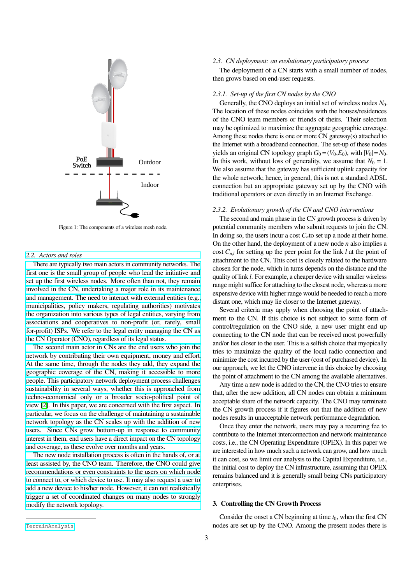

Figure 1: The components of a wireless mesh node.

# *[2.2. Actors and roles](https://github.com/AdvancedNetworkingSystems/TerrainAnalysis)*

[There are typically two main actors in community networks. The](https://github.com/AdvancedNetworkingSystems/TerrainAnalysis) [first one is the small group of people who lead the initiative and](https://github.com/AdvancedNetworkingSystems/TerrainAnalysis) [set up the first wireless nodes. More often than not, they remain](https://github.com/AdvancedNetworkingSystems/TerrainAnalysis) [involved in the CN, undertaking a major role in its maintenance](https://github.com/AdvancedNetworkingSystems/TerrainAnalysis) [and management. The need to interact with external entities \(e.g.,](https://github.com/AdvancedNetworkingSystems/TerrainAnalysis) [municipalities, policy makers, regulating authorities\) motivates](https://github.com/AdvancedNetworkingSystems/TerrainAnalysis) [the organization into various types of legal entities, varying from](https://github.com/AdvancedNetworkingSystems/TerrainAnalysis) [associations and cooperatives to non-profit \(or, rarely, small](https://github.com/AdvancedNetworkingSystems/TerrainAnalysis) [for-profit\) ISPs. We refer to the legal entity managing the CN as](https://github.com/AdvancedNetworkingSystems/TerrainAnalysis) [the CN Operator \(CNO\), regardless of its legal status.](https://github.com/AdvancedNetworkingSystems/TerrainAnalysis)

[The second main actor in CNs are the end users who join the](https://github.com/AdvancedNetworkingSystems/TerrainAnalysis) [network by contributing their own equipment, money and effort.](https://github.com/AdvancedNetworkingSystems/TerrainAnalysis) [At the same time, through the nodes they add, they expand the](https://github.com/AdvancedNetworkingSystems/TerrainAnalysis) [geographic coverage of the CN, making it accessible to more](https://github.com/AdvancedNetworkingSystems/TerrainAnalysis) [people. This participatory network deployment process challenges](https://github.com/AdvancedNetworkingSystems/TerrainAnalysis) [sustainability in several ways, whether this is approached from](https://github.com/AdvancedNetworkingSystems/TerrainAnalysis) [techno-economical only or a broader socio-political point of](https://github.com/AdvancedNetworkingSystems/TerrainAnalysis) [view \[2\]. In this paper, we are concerned with the first aspect. In](https://github.com/AdvancedNetworkingSystems/TerrainAnalysis) [particular, we focus on the challenge of maintaining a sustainable](https://github.com/AdvancedNetworkingSystems/TerrainAnalysis) [network topology as the CN scales up with the addition of new](https://github.com/AdvancedNetworkingSystems/TerrainAnalysis) [users. Since CNs grow bottom-up in response to community](https://github.com/AdvancedNetworkingSystems/TerrainAnalysis) [interest in them, end users have a direct impact on the CN topology](https://github.com/AdvancedNetworkingSystems/TerrainAnalysis) [and coverage, as these evolve over months and years.](https://github.com/AdvancedNetworkingSystems/TerrainAnalysis)

[The new node installation process is often in the hands of, or at](https://github.com/AdvancedNetworkingSystems/TerrainAnalysis) [least assisted by, the CNO team. Therefore, the CNO could give](https://github.com/AdvancedNetworkingSystems/TerrainAnalysis) [recommendations or even constraints to the users on which node](https://github.com/AdvancedNetworkingSystems/TerrainAnalysis) [to connect to, or which device to use. It may also request a user to](https://github.com/AdvancedNetworkingSystems/TerrainAnalysis) [add a new device to his/her node. However, it can not realistically](https://github.com/AdvancedNetworkingSystems/TerrainAnalysis) [trigger a set of coordinated changes on many nodes to strongly](https://github.com/AdvancedNetworkingSystems/TerrainAnalysis) [modify the network topology.](https://github.com/AdvancedNetworkingSystems/TerrainAnalysis)

#### *2.3. CN deployment: an evolutionary participatory process*

The deployment of a CN starts with a small number of nodes, then grows based on end-user requests.

# *2.3.1. Set-up of the first CN nodes by the CNO*

Generally, the CNO deploys an initial set of wireless nodes  $N_0$ . The location of these nodes coincides with the houses/residences of the CNO team members or friends of theirs. Their selection may be optimized to maximize the aggregate geographic coverage. Among these nodes there is one or more CN gateway(s) attached to the Internet with a broadband connection. The set-up of these nodes yields an original CN topology graph  $G_0 = (V_0, E_0)$ , with  $|V_0| = N_0$ . In this work, without loss of generality, we assume that  $N_0 = 1$ . We also assume that the gateway has sufficient uplink capacity for the whole network; hence, in general, this is not a standard ADSL connection but an appropriate gateway set up by the CNO with traditional operators or even directly in an Internet Exchange.

#### <span id="page-2-0"></span>*2.3.2. Evolutionary growth of the CN and CNO interventions*

The second and main phase in the CN growth process is driven by potential community members who submit requests to join the CN. In doing so, the users incur a cost  $C<sub>n</sub>$  to set up a node at their home. On the other hand, the deployment of a new node *n* also implies a cost  $C_{n,l}$  for setting up the peer point for the link *l* at the point of attachment to the CN. This cost is closely related to the hardware chosen for the node, which in turns depends on the distance and the quality of link *l*. For example, a cheaper device with smaller wireless range might suffice for attaching to the closest node, whereas a more expensive device with higher range would be needed to reach a more distant one, which may lie closer to the Internet gateway.

Several criteria may apply when choosing the point of attachment to the CN. If this choice is not subject to some form of control/regulation on the CNO side, a new user might end up connecting to the CN node that can be received most powerfully and/or lies closer to the user. This is a selfish choice that myopically tries to maximize the quality of the local radio connection and minimize the cost incurred by the user (cost of purchased device). In our approach, we let the CNO intervene in this choice by choosing the point of attachment to the CN among the available alternatives.

Any time a new node is added to the CN, the CNO tries to ensure that, after the new addition, all CN nodes can obtain a minimum acceptable share of the network capacity. The CNO may terminate the CN growth process if it figures out that the addition of new nodes results in unacceptable network performance degradation.

Once they enter the network, users may pay a recurring fee to contribute to the Internet interconnection and network maintenance costs, i.e., the CN Operating Expenditure (OPEX). In this paper we are interested in how much such a network can grow, and how much it can cost, so we limit our analysis to the Capital Expenditure, i.e., the initial cost to deploy the CN infrastructure, assuming that OPEX remains balanced and it is generally small being CNs participatory enterprises.

## 3. Controlling the CN Growth Process

Consider the onset a CN beginning at time  $t_0$ , when the first CN nodes are set up by the CNO. Among the present nodes there is

[TerrainAnalysis](https://github.com/AdvancedNetworkingSystems/TerrainAnalysis).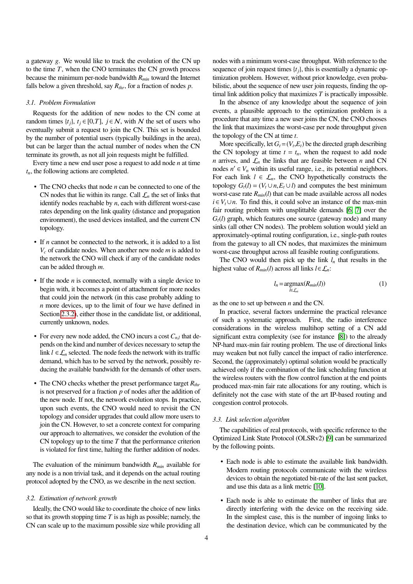a gateway *g*. We would like to track the evolution of the CN up to the time *T*, when the CNO terminates the CN growth process because the minimum per-node bandwidth *Rmin* toward the Internet falls below a given threshold, say *Rthr*, for a fraction of nodes *p*.

#### *3.1. Problem Formulation*

Requests for the addition of new nodes to the CN come at random times  $\{t_j\}$ ,  $t_j \in [0,T]$ ,  $j \in \mathcal{N}$ , with  $\mathcal N$  the set of users who eventually submit a request to join the CN. This set is bounded by the number of potential users (typically buildings in the area), but can be larger than the actual number of nodes when the CN terminate its growth, as not all join requests might be fulfilled.

Every time a new end user pose a request to add node *n* at time *tn*, the following actions are completed.

- The CNO checks that node *n* can be connected to one of the CN nodes that lie within its range. Call  $\mathcal{L}_n$  the set of links that identify nodes reachable by *n*, each with different worst-case rates depending on the link quality (distance and propagation environment), the used devices installed, and the current CN topology.
- If *n* cannot be connected to the network, it is added to a list *V<sup>c</sup>* of candidate nodes. When another new node *m* is added to the network the CNO will check if any of the candidate nodes can be added through *m*.
- If the node *n* is connected, normally with a single device to begin with, it becomes a point of attachment for more nodes that could join the network (in this case probably adding to *n* more devices, up to the limit of four we have defined in Section [2.3.2\)](#page-2-0), either those in the candidate list, or additional, currently unknown, nodes.
- For every new node added, the CNO incurs a cost  $C_{n,l}$  that depends on the kind and number of devices necessary to setup the link  $l$  ∈  $\mathcal{L}_n$  selected. The node feeds the network with its traffic demand, which has to be served by the network, possibly reducing the available bandwidth for the demands of other users.
- The CNO checks whether the preset performance target *Rthr* is not preserved for a fraction *p* of nodes after the addition of the new node. If not, the network evolution stops. In practice, upon such events, the CNO would need to revisit the CN topology and consider upgrades that could allow more users to join the CN. However, to set a concrete context for comparing our approach to alternatives, we consider the evolution of the CN topology up to the time *T* that the performance criterion is violated for first time, halting the further addition of nodes.

The evaluation of the minimum bandwidth *Rmin* available for any node is a non trivial task, and it depends on the actual routing protocol adopted by the CNO, as we describe in the next section.

## *3.2. Estimation of network growth*

Ideally, the CNO would like to coordinate the choice of new links so that its growth stopping time *T* is as high as possible; namely, the CN can scale up to the maximum possible size while providing all nodes with a minimum worst-case throughput. With reference to the sequence of join request times {*tj*}, this is essentially a dynamic optimization problem. However, without prior knowledge, even probabilistic, about the sequence of new user join requests, finding the optimal link addition policy that maximizes *T* is practically impossible.

In the absence of any knowledge about the sequence of join events, a plausible approach to the optimization problem is a procedure that any time a new user joins the CN, the CNO chooses the link that maximizes the worst-case per node throughput given the topology of the CN at time *t*.

More specifically, let  $G_t = (V_t, E_t)$  be the directed graph describing<br> $\sum_{i=1}^{t}$  CN topology at time  $t - t$ , when the request to add node the CN topology at time  $t = t_n$ , when the request to add node *n* arrives, and  $\mathcal{L}_n$  the links that are feasible between *n* and CN nodes  $n' \in V_n$  within its useful range, i.e., its potential neighbors. For each link  $l \in \mathcal{L}_n$ , the CNO hypothetically constructs the topology  $G_t(l) = (V_t \cup n, E_t \cup l)$  and computes the best minimum worst-case rate *Rmin*(*l*) that can be made available across all nodes  $i \in V_t \cup n$ . To find this, it could solve an instance of the max-min fair routing problem with unsplittable demands [\[6,](#page-13-5) [7\]](#page-13-6) over the  $G_t(l)$  graph, which features one source (gateway node) and many sinks (all other CN nodes). The problem solution would yield an approximately-optimal routing configuration, i.e., single-path routes from the gateway to all CN nodes, that maximizes the minimum worst-case throughput across all feasible routing configurations.

The CNO would then pick up the link  $l_n$  that results in the highest value of  $R_{min}(l)$  across all links  $l \in \mathcal{L}_n$ :

<span id="page-3-0"></span>
$$
l_n = \underset{l \in \mathcal{L}_n}{\operatorname{argmax}} (R_{min}(l)) \tag{1}
$$

as the one to set up between *n* and the CN.

In practice, several factors undermine the practical relevance of such a systematic approach. First, the radio interference considerations in the wireless multihop setting of a CN add significant extra complexity (see for instance [\[8\]](#page-13-7)) to the already NP-hard max-min fair routing problem. The use of directional links may weaken but not fully cancel the impact of radio interference. Second, the (approximately) optimal solution would be practically achieved only if the combination of the link scheduling function at the wireless routers with the flow control function at the end points produced max-min fair rate allocations for any routing, which is definitely not the case with state of the art IP-based routing and congestion control protocols.

#### <span id="page-3-1"></span>*3.3. Link selection algorithm*

The capabilities of real protocols, with specific reference to the Optimized Link State Protocol (OLSRv2) [\[9\]](#page-13-8) can be summarized by the following points.

- Each node is able to estimate the available link bandwidth. Modern routing protocols communicate with the wireless devices to obtain the negotiated bit-rate of the last sent packet, and use this data as a link metric [\[10\]](#page-13-9).
- Each node is able to estimate the number of links that are directly interfering with the device on the receiving side. In the simplest case, this is the number of ingoing links to the destination device, which can be communicated by the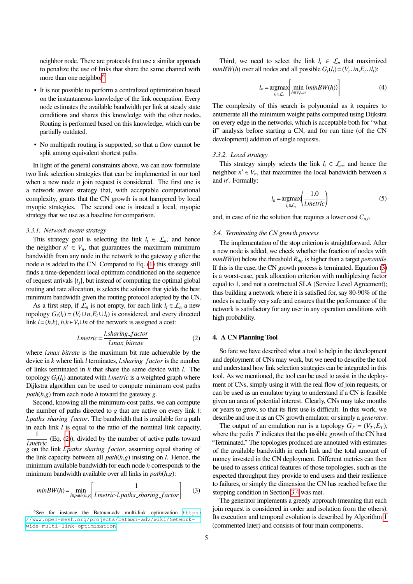neighbor node. There are protocols that use a similar approach to penalize the use of links that share the same channel with more than one neighbor<sup>[6](#page-4-0)</sup>.

- It is not possible to perform a centralized optimization based on the instantaneous knowledge of the link occupation. Every node estimates the available bandwidth per link at steady state conditions and shares this knowledge with the other nodes. Routing is performed based on this knowledge, which can be partially outdated.
- No multipath routing is supported, so that a flow cannot be split among equivalent shortest paths.

In light of the general constraints above, we can now formulate two link selection strategies that can be implemented in our tool when a new node *n* join request is considered. The first one is a network aware strategy that, with acceptable computational complexity, grants that the CN growth is not hampered by local myopic strategies. The second one is instead a local, myopic strategy that we use as a baseline for comparison.

## <span id="page-4-4"></span>*3.3.1. Network aware strategy*

This strategy goal is selecting the link  $l_t \in \mathcal{L}_n$ , and hence the neighbor  $n' \in V_n$ , that guarantees the maximum minimum bandwidth from any node in the network to the gateway *g* after the node *n* is added to the CN. Compared to Eq. [\(1\)](#page-3-0) this strategy still finds a time-dependent local optimum conditioned on the sequence of request arrivals  $\{t_i\}$ , but instead of computing the optimal global routing and rate allocation, is selects the solution that yields the best minimum bandwidth given the routing protocol adopted by the CN.

As a first step, if  $\mathcal{L}_n$  is not empty, for each link  $l_t \in \mathcal{L}_n$  a new topology  $G_t(l_t) = (V_t \cup n, E_t \cup l_t)$  is considered, and every directed link  $l = (h,k)$ ,  $h,k \in V_t \cup n$  of the network is assigned a cost:

<span id="page-4-1"></span>
$$
l.metric = \frac{l.sharing-factor}{l.max.bitrate}
$$
 (2)

where *l.max bitrate* is the maximum bit rate achievable by the device in *k* where link *l* terminates *l* sharing factor is the number device in *<sup>k</sup>* where link *<sup>l</sup>* terminates, *<sup>l</sup>*.*sharing f actor* is the number of links terminated in *k* that share the same device with *l*. The topology  $G_t(l_t)$  annotated with *l.metric* is a weighted graph where Dijkstra algorithm can be used to compute minimum cost paths *path*(*h*,*g*) from each node *<sup>h</sup>* toward the gateway *<sup>g</sup>*.

Second, knowing all the minimum-cost paths, we can compute the number of paths directed to *g* that are active on every link *l*: *<sup>l</sup>*.*paths sharing f actor*. The bandwidth that is available for a path in each link *l* is equal to the ratio of the nominal link capacity,  $\frac{1}{\cdot}$  (Eq. [\(2\)](#page-4-1)), divided by the number of active paths toward *l.metric g* on the link *l.paths sharing factor*, assuming equal sharing of
the link canacity between all *nath*(*h a*) insisting on *l*. Hence the the link capacity between all *path*(*h*,*g*) insisting on *<sup>l</sup>*. Hence, the minimum available bandwidth for each node *h* corresponds to the minimum bandwidth available over all links in *path*(*h*,*g*):

<span id="page-4-2"></span>
$$
minBW(h) = \min_{l \in path(h,g)} \left[ \frac{1}{l.metric \cdot l.paths\_sharing\_factor} \right]
$$
 (3)

Third, we need to select the link  $l_t \in \mathcal{L}_n$  that maximized *minBW*(*h*) over all nodes and all possible  $G_t(l_t) = (V_t \cup n, E_t \cup l_t)$ :

$$
l_n = \underset{l_i \in \mathcal{L}_n}{\operatorname{argmax}} \left[ \underset{h \in V_i \cup n}{\min} (\min BW(h)) \right] \tag{4}
$$

The complexity of this search is polynomial as it requires to enumerate all the minimum weight paths computed using Dijkstra on every edge in the networks, which is acceptable both for "what if" analysis before starting a CN, and for run time (of the CN development) addition of single requests.

#### <span id="page-4-5"></span>*3.3.2. Local strategy*

This strategy simply selects the link  $l_t \in \mathcal{L}_n$ , and hence the neighbor  $n' \in V_n$ , that maximizes the local bandwidth between *n* and  $n'$ . Formally:

$$
l_n = \underset{l_i \in \mathcal{L}_n}{\operatorname{argmax}} \left( \frac{1.0}{l.metric} \right) \tag{5}
$$

and, in case of tie the solution that requires a lower cost  $C_{n,l}$ .

## <span id="page-4-3"></span>*3.4. Terminating the CN growth process*

The implementation of the stop criterion is straightforward. After a new node is added, we check whether the fraction of nodes with *minBW*(*n*) below the threshold *Rthr* is higher than a target *percentile*. If this is the case, the CN growth process is terminated. Equation [\(3\)](#page-4-2) is a worst-case, peak allocation criterion with multiplexing factor equal to 1, and not a contractual SLA (Service Level Agreement); thus building a network where it is satisfied for, say 80-90% of the nodes is actually very safe and ensures that the performance of the network is satisfactory for any user in any operation conditions with high probability.

## 4. A CN Planning Tool

So fare we have described what a tool to help in the development and deployment of CNs may work, but we need to describe the tool and understand how link selection strategies can be integrated in this tool. As we mentioned, the tool can be used to assist in the deployment of CNs, simply using it with the real flow of join requests, or can be used as an emulator trying to understand if a CN is feasible given an area of potential interest. Clearly, CNs may take months or years to grow, so that its first use is difficult. In this work, we describe and use it as an CN growth emulator, or simply a *generator*.

The output of an emulation run is a topology  $G_T = (V_T, E_T)$ , where the pedix *T* indicates that the possible growth of the CN hast "Terminated." The topologies produced are annotated with estimates of the available bandwidth in each link and the total amount of money invested in the CN deployment. Different metrics can then be used to assess critical features of those topologies, such as the expected throughput they provide to end users and their resilience to failures, or simply the dimension the CN has reached before the stopping condition in Section [3.4](#page-4-3) was met.

The generator implements a greedy approach (meaning that each join request is considered in order and isolation from the others). Its execution and temporal evolution is described by Algorithm [1](#page-5-0) (commented later) and consists of four main components.

<span id="page-4-0"></span> $6$ See for instance the Batman-adv multi-link optimization  $https:$ [//www.open-mesh.org/projects/batman-adv/wiki/Network](https://www.open-mesh.org/projects/batman-adv/wiki/Network-wide-multi-link-optimization)[wide-multi-link-optimization](https://www.open-mesh.org/projects/batman-adv/wiki/Network-wide-multi-link-optimization)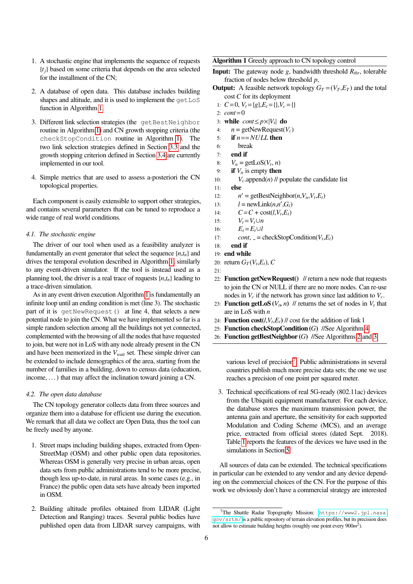- 1. A stochastic engine that implements the sequence of requests {*tj*} based on some criteria that depends on the area selected for the installment of the CN;
- 2. A database of open data. This database includes building shapes and altitude, and it is used to implement the  $q$ etLoS function in Algorithm [1.](#page-5-0)
- 3. Different link selection strategies (the getBestNeighbor routine in Algorithm [1\)](#page-5-0) and CN growth stopping criteria (the checkStopCondition routine in Algorithm [1\)](#page-5-0). The two link selection strategies defined in Section [3.3](#page-3-1) and the growth stopping criterion defined in Section [3.4](#page-4-3) are currently implemented in our tool.
- 4. Simple metrics that are used to assess a-posteriori the CN topological properties.

Each component is easily extensible to support other strategies, and contains several parameters that can be tuned to reproduce a wide range of real world conditions.

## *4.1. The stochastic engine*

The driver of our tool when used as a feasibility analyzer is fundamentally an event generator that select the sequence {*n*,*tn*} and drives the temporal evolution described in Algorithm [1,](#page-5-0) similarly to any event-driven simulator. If the tool is instead used as a planning tool, the driver is a real trace of requests  $\{n,t_n\}$  leading to a trace-driven simulation.

As in any event driven execution Algorithm [1](#page-5-0) is fundamentally an infinite loop until an ending condition is met (line 3). The stochastic part of it is getNewRequest () at line 4, that selects a new potential node to join the CN. What we have implemented so far is a simple random selection among all the buildings not yet connected, complemented with the browsing of all the nodes that have requested to join, but were not in LoS with any node already present in the CN and have been memorized in the  $V_{wait}$  set. These simple driver can be extended to include demographics of the area, starting from the number of families in a building, down to census data (education, income, ...) that may affect the inclination toward joining a CN.

## *4.2. The open data database*

The CN topology generator collects data from three sources and organize them into a database for efficient use during the execution. We remark that all data we collect are Open Data, thus the tool can be freely used by anyone.

- 1. Street maps including building shapes, extracted from Open-StreetMap (OSM) and other public open data repositories. Whereas OSM is generally very precise in urban areas, open data sets from public administrations tend to be more precise, though less up-to-date, in rural areas. In some cases (e.g., in France) the public open data sets have already been imported in OSM.
- 2. Building altitude profiles obtained from LIDAR (Light Detection and Ranging) traces. Several public bodies have published open data from LIDAR survey campaigns, with

<span id="page-5-0"></span>Algorithm 1 Greedy approach to CN topology control

- Input: The gateway node *g*, bandwidth threshold *Rthr*, tolerable fraction of nodes below threshold *p*,
- **Output:** A feasible network topology  $G_T = (V_T, E_T)$  and the total cost *C* for its deployment
	- 1:  $C=0$ ,  $V_t = \{g\}$ ,  $E_t = \{\}, V_c = \{\}$
	- 2:  $cont = 0$
	- 3: while  $cont \leq p \times |V_t|$  do
- 4:  $n = getNewRequest(V<sub>c</sub>)$
- 5: if  $n == NULL$  then
- 6: break
- $7:$  end if
- 8:  $V_n = \text{getLoS}(V_t, n)$
- 9: **if**  $V_n$  is empty **then**
- 10:  $V_c$ .append(*n*) // populate the candidate list<br>11: **else**
- else
- 12: *n*  $Q' = \text{getBestNeighbour}(n, V_n, V_t, E_t)$ <br>  $= \text{newI} \text{ ink}(n, n', G)$
- 13:  $l = newLink(n,n',G_t)$ <br>
14:  $C C + cost(l, V, F)$
- 14:  $C = C + \text{cost}(l, V_t, E_t)$ <br>
15:  $V_t V_t \ln t$
- 15:  $V_t = V_t \cup n$
- 16:  $E_t = E_t \cup l$
- 17: *cont*,  $=$  checkStopCondition( $V_t$ , $E_t$ )
- $18:$  end if
- 19: end while
- 20: return  $G_T(V_t, E_t)$ , *C*
- 21:
- 22: **Function getNewRequest()** // return a new node that requests to join the CN or NULL if there are no more nodes. Can re-use nodes in  $V_c$  if the network has grown since last addition to  $V_c$ .
- 23: **Function getLoS**  $(V_t, n)$  // returns the set of nodes in  $V_t$  that are in LoS with *n*
- 24: **Function cost** $(l, V_t, E_t)$  // cost for the addition of link l
- 25: Function checkStopCondition (*G*) //See Algorithm [4](#page-7-0)
- 26: Function getBestNeighbor (*G*) //See Algorithms [2](#page-7-1) and [3](#page-7-2)

various level of precision<sup>[7](#page-5-1)</sup>. Public administrations in several countries publish much more precise data sets; the one we use reaches a precision of one point per squared meter.

3. Technical specifications of real 5G-ready (802.11ac) devices from the Ubiquiti equipment manufacturer. For each device, the database stores the maximum transmission power, the antenna gain and aperture, the sensitivity for each supported Modulation and Coding Scheme (MCS), and an average price, extracted from official stores (dated Sept. 2018). Table [1](#page-6-0) reports the features of the devices we have used in the simulations in Section [5.](#page-8-0)

All sources of data can be extended. The technical specifications in particular can be extended to any vendor and any device depending on the commercial choices of the CN. For the purpose of this work we obviously don't have a commercial strategy are interested

<span id="page-5-1"></span><sup>7</sup>The Shuttle Radar Topography Mission: [https://www2.jpl.nasa.](https://www2.jpl.nasa.gov/srtm/) [gov/srtm/](https://www2.jpl.nasa.gov/srtm/) is a public repository of terrain elevation profiles, but its precision does not allow to estimate building heights (roughly one point every 900*m* 2 ).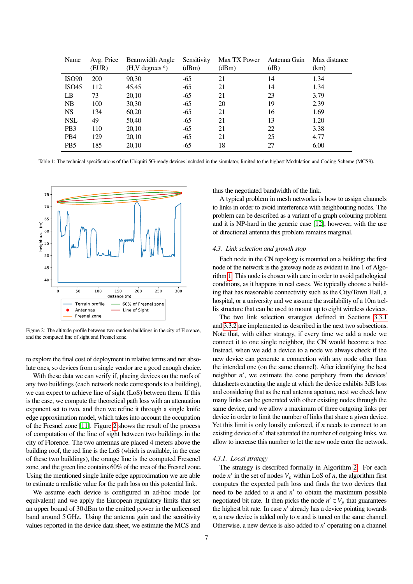<span id="page-6-0"></span>

| Name            | Avg. Price<br>(EUR) | Beamwidth Angle<br>(H,V degrees $^{\circ}$ ) | Sensitivity<br>(dBm) | Max TX Power<br>(dBm) | Antenna Gain<br>(dB) | Max distance<br>(km) |
|-----------------|---------------------|----------------------------------------------|----------------------|-----------------------|----------------------|----------------------|
|                 |                     |                                              |                      |                       |                      |                      |
| <b>ISO90</b>    | 200                 | 90,30                                        | $-65$                | 21                    | 14                   | 1.34                 |
| <b>ISO45</b>    | 112                 | 45,45                                        | $-65$                | 21                    | 14                   | 1.34                 |
| LB              | 73                  | 20,10                                        | $-65$                | 21                    | 23                   | 3.79                 |
| NB              | 100                 | 30,30                                        | $-65$                | 20                    | 19                   | 2.39                 |
| <b>NS</b>       | 134                 | 60,20                                        | $-65$                | 21                    | 16                   | 1.69                 |
| <b>NSL</b>      | 49                  | 50,40                                        | $-65$                | 21                    | 13                   | 1.20                 |
| PB <sub>3</sub> | 110                 | 20,10                                        | $-65$                | 21                    | 22                   | 3.38                 |
| P <sub>B4</sub> | 129                 | 20,10                                        | $-65$                | 21                    | 25                   | 4.77                 |
| P <sub>B5</sub> | 185                 | 20,10                                        | $-65$                | 18                    | 27                   | 6.00                 |

Table 1: The technical specifications of the Ubiquiti 5G-ready devices included in the simulator, limited to the highest Modulation and Coding Scheme (MCS9).

<span id="page-6-1"></span>

Figure 2: The altitude profile between two random buildings in the city of Florence, and the computed line of sight and Fresnel zone.

to explore the final cost of deployment in relative terms and not absolute ones, so devices from a single vendor are a good enough choice.

With these data we can verify if, placing devices on the roofs of any two buildings (each network node corresponds to a building), we can expect to achieve line of sight (LoS) between them. If this is the case, we compute the theoretical path loss with an attenuation exponent set to two, and then we refine it through a single knife edge approximation model, which takes into account the occupation of the Fresnel zone [\[11\]](#page-13-10). Figure [2](#page-6-1) shows the result of the process of computation of the line of sight between two buildings in the city of Florence. The two antennas are placed 4 meters above the building roof, the red line is the LoS (which is available, in the case of these two buildings), the orange line is the computed Fresenel zone, and the green line contains 60% of the area of the Fresnel zone. Using the mentioned single knife edge approximation we are able to estimate a realistic value for the path loss on this potential link.

We assume each device is configured in ad-hoc mode (or equivalent) and we apply the European regulatory limits that set an upper bound of 30 dBm to the emitted power in the unlicensed band around 5 GHz. Using the antenna gain and the sensitivity values reported in the device data sheet, we estimate the MCS and

thus the negotiated bandwidth of the link.

A typical problem in mesh networks is how to assign channels to links in order to avoid interference with neighbouring nodes. The problem can be described as a variant of a graph colouring problem and it is NP-hard in the generic case [\[12\]](#page-13-11), however, with the use of directional antenna this problem remains marginal.

### <span id="page-6-2"></span>*4.3. Link selection and growth stop*

Each node in the CN topology is mounted on a building; the first node of the network is the gateway node as evident in line 1 of Algorithm [1.](#page-5-0) This node is chosen with care in order to avoid pathological conditions, as it happens in real cases. We typically choose a building that has reasonable connectivity such as the City/Town Hall, a hospital, or a university and we assume the availability of a 10m trellis structure that can be used to mount up to eight wireless devices.

The two link selection strategies defined in Sections [3.3.1](#page-4-4) and [3.3.2](#page-4-5) are implemented as described in the next two subsections. Note that, with either strategy, if every time we add a node we connect it to one single neighbor, the CN would become a tree. Instead, when we add a device to a node we always check if the new device can generate a connection with any node other than the intended one (on the same channel). After identifying the best neighbor  $n'$ , we estimate the cone periphery from the devices' datasheets extracting the angle at which the device exhibits 3dB loss and considering that as the real antenna aperture, next we check how many links can be generated with other existing nodes through the same device, and we allow a maximum of three outgoing links per device in order to limit the number of links that share a given device. Yet this limit is only lousily enforced, if *n* needs to connect to an existing device of  $n'$  that saturated the number of outgoing links, we allow to increase this number to let the new node enter the network.

#### *4.3.1. Local strategy*

The strategy is described formally in Algorithm [2.](#page-7-1) For each node  $n'$  in the set of nodes  $V_p$  within LoS of  $n$ , the algorithm first computes the expected path loss and finds the two devices that need to be added to  $n$  and  $n'$  to obtain the maximum possible negotiated bit rate. It then picks the node  $n' \in V_p$  that guarantees the highest bit rate. In case *n'* already has a device pointing towards *n*, a new device is added only to *n* and is tuned on the same channel. Otherwise, a new device is also added to *n'* operating on a channel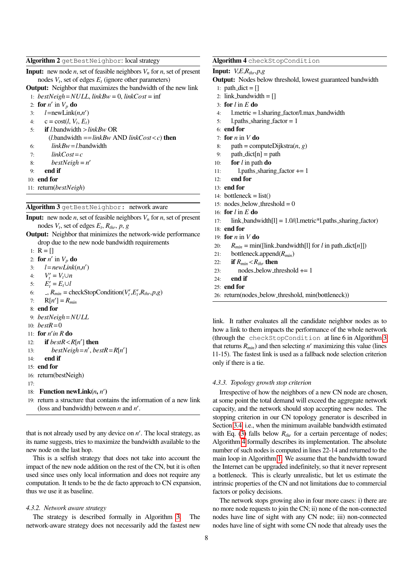<span id="page-7-1"></span>Algorithm 2 getBestNeighbor: local strategy

**Input:** new node *n*, set of feasible neighbors  $V_n$  for *n*, set of present nodes  $V_t$ , set of edges  $E_t$  (ignore other parameters)

Output: Neighbor that maximizes the bandwidth of the new link 1: *bestNeigh*=*NULL*, *linkBw* = 0, *linkCost* = inf

2: **for**  $n'$  in  $V_p$  **do** 

- 3:  $l = newLink(n,n')$
- 4:  $c = \text{cost}(l, V_t, E_t)$
- 5: if *<sup>l</sup>*.bandwidth >*linkBw* OR  $(l.\text{bandwidth} == linkBw \text{ AND } linkCost < c)$  then
- 
- 6:  $linkBw = l$ .bandwidth<br>7:  $linkCost = c$  $linkCost = c$
- 8:  $\text{bestNeigh} = n'$
- 9: end if
- 10: end for
- 11: return(*bestNeigh*)

# <span id="page-7-2"></span>Algorithm 3 getBestNeighbor: network aware

- **Input:** new node *n*, set of feasible neighbors  $V_n$  for *n*, set of present nodes  $V_t$ , set of edges  $E_t$ ,  $R_{thr}$ ,  $p$ ,  $g$
- Output: Neighbor that minimizes the network-wide performance drop due to the new node bandwidth requirements

1:  $R = \Pi$ 2: **for**  $n'$  in  $V_p$  **do** 3:  $l = newLink(n,n')$ <br>
4:  $V' = V \perp n$ 4:  $V'_t = V_t \cup n$ 5:  $E'_t = E_t \cup l$ 6:  $R_{min} = \text{checkStopCondition}(V'_t, E'_t, R_{thr}, p, g)$ <br>  $\overline{R}$ **F** $\{n' \} = R$ 7:  $R[n'] = R_{min}$ 8: end for 9: *bestNeigh*=*NULL* 10:  $bestR = 0$ 11: **for**  $n'$ *in* R **do** 12: **if**  $\text{bestR} < R[n']$  **then**<br>
13: **bestNeigh** = n', be 13:  $bestNeigh = n', bestR = R[n']$  $14.$  end if 15: end for 16: return(bestNeigh) 17: 18: **Function newLink** $(n, n')$ 

19: return a structure that contains the information of a new link (loss and bandwidth) between  $n$  and  $n'$ .

that is not already used by any device on  $n'$ . The local strategy, as its name suggests, tries to maximize the bandwidth available to the new node on the last hop.

This is a selfish strategy that does not take into account the impact of the new node addition on the rest of the CN, but it is often used since uses only local information and does not require any computation. It tends to be the de facto approach to CN expansion, thus we use it as baseline.

#### *4.3.2. Network aware strategy*

The strategy is described formally in Algorithm [3.](#page-7-2) The network-aware strategy does not necessarily add the fastest new

<span id="page-7-0"></span>Algorithm 4 checkStopCondition

Input:  $V$ *,E*, $R$ <sub>*thr*</sub>, $p$ , $g$ 

Output: Nodes below threshold, lowest guaranteed bandwidth

- 1: path\_dict =  $\Box$
- 2:  $link\_bandwidth = \Box$
- 3: for *l* in *E* do
- 4: l.metric = l.sharing factor/l.max bandwidth
- 5: l.paths\_sharing\_factor =  $1$
- 6: end for
- 7: for  $n \in V$  do
- 8: path = computeDijkstra $(n, g)$
- 9: path\_dict $[n]$  = path
- 10: for *l* in path do
- 11: l.paths sharing factor += 1
- 12: end for
- 13: end for
- 14: bottleneck =  $list()$
- 15: nodes\_below\_threshold =  $0$
- 16: for *l* in *E* do
- 17:  $link-bandwidth[1] = 1.0/(1.metric*1.paths-sharing_factor)$
- 18: end for
- 19: for *n* in *V* do
- 20:  $R_{min} = min([link-bandwidth[1] for *l* in path_dict[*n*]])$
- 21: bottleneck.append(*Rmin*)
- 22: **if**  $R_{min} < R_{thr}$  then<br>23: nodes\_below\_th
- $nodes\_below\_threshold += 1$
- 24: end if
- 25: end for
- 26: return(nodes below threshold, min(bottleneck))

link. It rather evaluates all the candidate neighbor nodes as to how a link to them impacts the performance of the whole network (through the checkStopCondition at line 6 in Algorithm [3](#page-7-2) that returns  $R_{min}$ ) and then selecting  $n'$  maximizing this value (lines 11-15). The fastest link is used as a fallback node selection criterion only if there is a tie.

#### *4.3.3. Topology growth stop criterion*

Irrespective of how the neighbors of a new CN node are chosen, at some point the total demand will exceed the aggregate network capacity, and the network should stop accepting new nodes. The stopping criterion in our CN topology generator is described in Section [3.4,](#page-4-3) i.e., when the minimum available bandwidth estimated with Eq. [\(3\)](#page-4-2) falls below  $R_{thr}$  for a certain percentage of nodes; Algorithm [4](#page-7-0) formally describes its implementation. The absolute number of such nodes is computed in lines 22-14 and returned to the main loop in Algorithm [1.](#page-5-0) We assume that the bandwidth toward the Internet can be upgraded indefinitely, so that it never represent a bottleneck. This is clearly unrealistic, but let us estimate the intrinsic properties of the CN and not limitations due to commercial factors or policy decisions.

The network stops growing also in four more cases: i) there are no more node requests to join the CN; ii) none of the non-connected nodes have line of sight with any CN node; iii) non-connected nodes have line of sight with some CN node that already uses the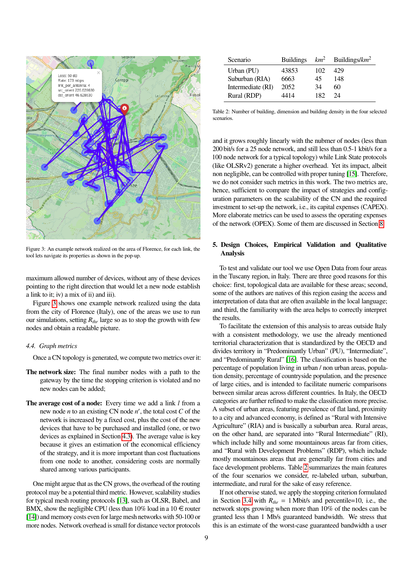<span id="page-8-1"></span>

Figure 3: An example network realized on the area of Florence, for each link, the tool lets navigate its properties as shown in the pop-up.

maximum allowed number of devices, without any of these devices pointing to the right direction that would let a new node establish a link to it; iv) a mix of ii) and iii).

Figure [3](#page-8-1) shows one example network realized using the data from the city of Florence (Italy), one of the areas we use to run our simulations, setting  $R_{thr}$  large so as to stop the growth with few nodes and obtain a readable picture.

## *4.4. Graph metrics*

Once a CN topology is generated, we compute two metrics over it:

- The network size: The final number nodes with a path to the gateway by the time the stopping criterion is violated and no new nodes can be added;
- The average cost of a node: Every time we add a link *l* from a new node *n* to an existing CN node *n'*, the total cost *C* of the network is increased by a fixed cost, plus the cost of the new devices that have to be purchased and installed (one, or two devices as explained in Section [4.3\)](#page-6-2). The average value is key because it gives an estimation of the economical efficiency of the strategy, and it is more important than cost fluctuations from one node to another, considering costs are normally shared among various participants.

One might argue that as the CN grows, the overhead of the routing protocol may be a potential third metric. However, scalability studies for typical mesh routing protocols [\[13\]](#page-13-12), such as OLSR, Babel, and BMX, show the negligible CPU (less than 10% load in a 10  $\in$  router [\[14\]](#page-13-13)) and memory costs even for large mesh networks with 50-100 or more nodes. Network overhead is small for distance vector protocols

<span id="page-8-2"></span>

| Scenario          | <b>Buildings</b> |     | $km^2$ Buildings/km <sup>2</sup> |
|-------------------|------------------|-----|----------------------------------|
| Urban (PU)        | 43853            | 102 | 429                              |
| Suburban (RIA)    | 6663             | 45  | 148                              |
| Intermediate (RI) | 2052             | 34  | 60                               |
| Rural (RDP)       | 4414             | 182 | 24                               |

Table 2: Number of building, dimension and building density in the four selected scenarios.

and it grows roughly linearly with the nubmer of nodes (less than 200 bit/s for a 25 node network, and still less than 0.5-1 kbit/s for a 100 node network for a typical topology) while Link State protocols (like OLSRv2) generate a higher overhead. Yet its impact, albeit non negligible, can be controlled with proper tuning [\[15\]](#page-13-14). Therefore, we do not consider such metrics in this work. The two metrics are, hence, sufficient to compare the impact of strategies and configuration parameters on the scalability of the CN and the required investment to set-up the network, i.e., its capital expenses (CAPEX). More elaborate metrics can be used to assess the operating expenses of the network (OPEX). Some of them are discussed in Section [8.](#page-12-0)

## <span id="page-8-0"></span>5. Design Choices, Empirical Validation and Qualitative Analysis

To test and validate our tool we use Open Data from four areas in the Tuscany region, in Italy. There are three good reasons for this choice: first, topological data are available for these areas; second, some of the authors are natives of this region easing the access and interpretation of data that are often available in the local language; and third, the familiarity with the area helps to correctly interpret the results.

To facilitate the extension of this analysis to areas outside Italy with a consistent methodology, we use the already mentioned territorial characterization that is standardized by the OECD and divides territory in "Predominantly Urban" (PU), "Intermediate", and "Predominantly Rural" [\[16\]](#page-13-15). The classification is based on the percentage of population living in urban / non urban areas, population density, percentage of countryside population, and the presence of large cities, and is intended to facilitate numeric comparisons between similar areas across different countries. In Italy, the OECD categories are further refined to make the classification more precise. A subset of urban areas, featuring prevalence of flat land, proximity to a city and advanced economy, is defined as "Rural with Intensive Agriculture" (RIA) and is basically a suburban area. Rural areas, on the other hand, are separated into "Rural Intermediate" (RI), which include hilly and some mountainous areas far from cities, and "Rural with Development Problems" (RDP), which include mostly mountainous areas that are generally far from cities and face development problems. Table [2](#page-8-2) summarizes the main features of the four scenarios we consider, re-labeled urban, suburban, intermediate, and rural for the sake of easy reference.

If not otherwise stated, we apply the stopping criterion formulated in Section [3.4](#page-4-3) with  $R_{thr} = 1$  Mbit/s and percentile=10, i.e., the network stops growing when more than 10% of the nodes can be granted less than 1 Mb/s guaranteed bandwidth. We stress that this is an estimate of the worst-case guaranteed bandwidth a user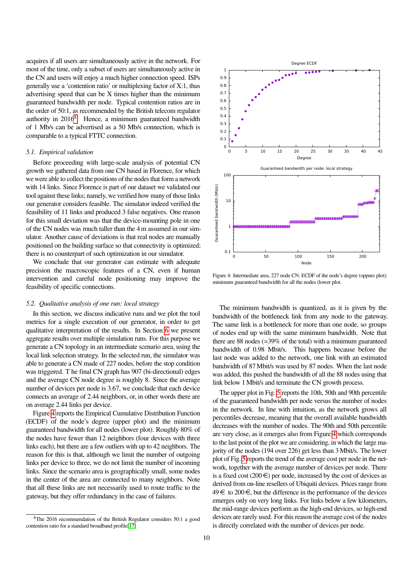acquires if all users are simultaneously active in the network. For most of the time, only a subset of users are simultaneously active in the CN and users will enjoy a much higher connection speed. ISPs generally use a 'contention ratio' or multiplexing factor of X:1, thus advertising speed that can be X times higher than the minimum guaranteed bandwidth per node. Typical contention ratios are in the order of 50:1, as recommended by the British telecom regulator authority in 2016<sup>[8](#page-9-0)</sup>. Hence, a minimum guaranteed bandwidth of 1 Mb/s can be advertised as a 50 Mb/s connection, which is comparable to a typical FTTC connection.

#### *5.1. Empirical validation*

Before proceeding with large-scale analysis of potential CN growth we gathered data from one CN based in Florence, for which we were able to collect the positions of the nodes that form a network with 14 links. Since Florence is part of our dataset we validated our tool against these links; namely, we verified how many of those links our generator considers feasible. The simulator indeed verified the feasibility of 11 links and produced 3 false negatives. One reason for this small deviation was that the device-mounting pole in one of the CN nodes was much taller than the 4 m assumed in our simulator. Another cause of deviations is that real nodes are manually positioned on the building surface so that connectivity is optimized; there is no counterpart of such optimization in our simulator.

We conclude that our generator can estimate with adequate precision the macroscopic features of a CN, even if human intervention and careful node positioning may improve the feasibility of specific connections.

## *5.2. Qualitative analysis of one run: local strategy*

In this section, we discuss indicative runs and we plot the tool metrics for a single execution of our generator, in order to get qualitative interpretation of the results. In Section [6](#page-10-0) we present aggregate results over multiple simulation runs. For this purpose we generate a CN topology in an intermediate scenario area, using the local link selection strategy. In the selected run, the simulator was able to generate a CN made of 227 nodes, before the stop condition was triggered. T he final CN graph has 907 (bi-directional) edges and the average CN node degree is roughly 8. Since the average number of devices per node is 3.67, we conclude that each device connects an average of 2.44 neighbors, or, in other words there are on average 2.44 links per device.

Figure [4](#page-9-1) reports the Empirical Cumulative Distribution Function (ECDF) of the node's degree (upper plot) and the minimum guaranteed bandwidth for all nodes (lower plot). Roughly 80% of the nodes have fewer than 12 neighbors (four devices with three links each), but there are a few outliers with up to 42 neighbors. The reason for this is that, although we limit the number of outgoing links per device to three, we do not limit the number of incoming links. Since the scenario area is geographically small, some nodes in the center of the area are connected to many neighbors. Note that all these links are not necessarily used to route traffic to the gateway, but they offer redundancy in the case of failures.

<span id="page-9-1"></span>

Figure 4: Intermediate area, 227 node CN. ECDF of the node's degree (oppure plot); minimum guaranteed bandwidth for all the nodes (lower plot.

The minimum bandwidth is quantized, as it is given by the bandwidth of the bottleneck link from any node to the gateway. The same link is a bottleneck for more than one node, so groups of nodes end up with the same minimum bandwidth. Note that there are 88 nodes ( $\approx$ 39% of the total) with a minimum guaranteed bandwidth of 0.98 Mbit/s. This happens because before the last node was added to the network, one link with an estimated bandwidth of 87Mbit/s was used by 87 nodes. When the last node was added, this pushed the bandwidth of all the 88 nodes using that link below 1Mbit/s and terminate the CN growth process.

The upper plot in Fig. [5](#page-10-1) reports the 10th, 50th and 90th percentile of the guaranteed bandwidth per node versus the number of nodes in the network. In line with intuition, as the network grows all percentiles decrease, meaning that the overall available bandwidth decreases with the number of nodes. The 90th and 50th percentile are very close, as it emerges also from Figure [4](#page-9-1) which corresponds to the last point of the plot we are considering, in which the large majority of the nodes (194 over 226) get less than 3Mbit/s. The lower plot of Fig. [5](#page-10-1) reports the trend of the average cost per node in the network, together with the average number of devices per node. There is a fixed cost (200 $\epsilon$ ) per node, increased by the cost of devices as derived from on-line resellers of Ubiquiti devices. Prices range from  $49 \in \text{to } 200 \in$ , but the difference in the performance of the devices emerges only on very long links. For links below a few kilometers, the mid-range devices perform as the high-end devices, so high-end devices are rarely used. For this reason the average cost of the nodes is directly correlated with the number of devices per node.

<span id="page-9-0"></span><sup>8</sup>The 2016 recommendation of the British Regulator considers 50:1 a good contention ratio for a standard broadband profile[\[17\]](#page-13-16)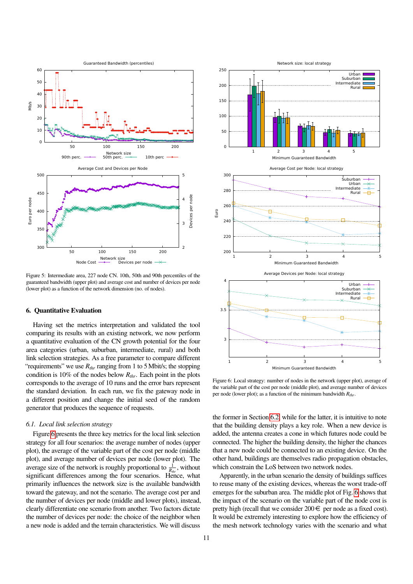<span id="page-10-1"></span>

Figure 5: Intermediate area, 227 node CN. 10th, 50th and 90th percentiles of the guaranteed bandwidth (upper plot) and average cost and number of devices per node (lower plot) as a function of the network dimension (no. of nodes).

#### <span id="page-10-0"></span>6. Quantitative Evaluation

Having set the metrics interpretation and validated the tool comparing its results with an existing network, we now perform a quantitative evaluation of the CN growth potential for the four area categories (urban, suburban, intermediate, rural) and both link selection strategies. As a free parameter to compare different "requirements" we use *Rthr* ranging from 1 to 5Mbit/s; the stopping condition is 10% of the nodes below *Rthr*. Each point in the plots corresponds to the average of 10 runs and the error bars represent the standard deviation. In each run, we fix the gateway node in a different position and change the initial seed of the random generator that produces the sequence of requests.

## *6.1. Local link selection strategy*

Figure [6](#page-10-2) presents the three key metrics for the local link selection strategy for all four scenarios: the average number of nodes (upper plot), the average of the variable part of the cost per node (middle plot), and average number of devices per node (lower plot). The average size of the network is roughly proportional to  $\frac{1}{R_{thr}}$ , without significant differences among the four scenarios. Hence, what primarily influences the network size is the available bandwidth toward the gateway, and not the scenario. The average cost per and the number of devices per node (middle and lower plots), instead, clearly differentiate one scenario from another. Two factors dictate the number of devices per node: the choice of the neighbor when a new node is added and the terrain characteristics. We will discuss

<span id="page-10-2"></span>



Figure 6: Local strategy: number of nodes in the network (upper plot), average of the variable part of the cost per node (middle plot), and average number of devices per node (lower plot); as a function of the minimum bandwidth *Rthr*.

the former in Section [6.2,](#page-11-0) while for the latter, it is intuitive to note that the building density plays a key role. When a new device is added, the antenna creates a cone in which futures node could be connected. The higher the building density, the higher the chances that a new node could be connected to an existing device. On the other hand, buildings are themselves radio propagation obstacles, which constrain the LoS between two network nodes.

Apparently, in the urban scenario the density of buildings suffices to reuse many of the existing devices, whereas the worst trade-off emerges for the suburban area. The middle plot of Fig. [6](#page-10-2) shows that the impact of the scenario on the variable part of the node cost is pretty high (recall that we consider  $200 \in \text{per node}$  as a fixed cost). It would be extremely interesting to explore how the efficiency of the mesh network technology varies with the scenario and what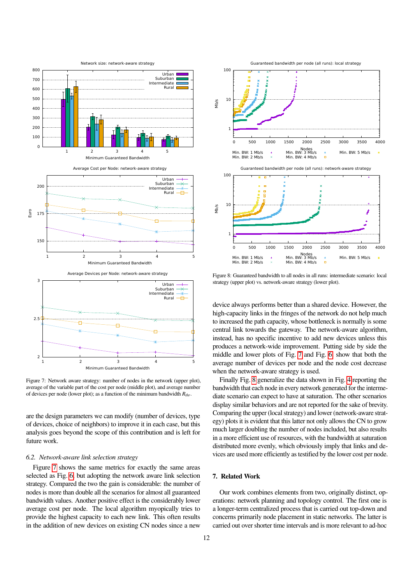<span id="page-11-1"></span>

Figure 7: Network aware strategy: number of nodes in the network (upper plot), average of the variable part of the cost per node (middle plot), and average number of devices per node (lower plot); as a function of the minimum bandwidth *Rthr*.

are the design parameters we can modify (number of devices, type of devices, choice of neighbors) to improve it in each case, but this analysis goes beyond the scope of this contribution and is left for future work.

# <span id="page-11-0"></span>*6.2. Network-aware link selection strategy*

Figure [7](#page-11-1) shows the same metrics for exactly the same areas selected as Fig. [6,](#page-10-2) but adopting the network aware link selection strategy. Compared the two the gain is considerable: the number of nodes is more than double all the scenarios for almost all guaranteed bandwidth values. Another positive effect is the considerably lower average cost per node. The local algorithm myopically tries to provide the highest capacity to each new link. This often results in the addition of new devices on existing CN nodes since a new

<span id="page-11-2"></span>

Figure 8: Guaranteed bandwidth to all nodes in all runs: intermediate scenario: local strategy (upper plot) vs. network-aware strategy (lower plot).

device always performs better than a shared device. However, the high-capacity links in the fringes of the network do not help much to increased the path capacity, whose bottleneck is normally is some central link towards the gateway. The network-aware algorithm, instead, has no specific incentive to add new devices unless this produces a network-wide improvement. Putting side by side the middle and lower plots of Fig. [7](#page-11-1) and Fig. [6,](#page-10-2) show that both the average number of devices per node and the node cost decrease when the network-aware strategy is used.

Finally Fig. [8](#page-11-2) generalize the data shown in Fig. [4](#page-9-1) reporting the bandwidth that each node in every network generated for the intermediate scenario can expect to have at saturation. The other scenarios display similar behaviors and are not reported for the sake of brevity. Comparing the upper (local strategy) and lower (network-aware strategy) plots it is evident that this latter not only allows the CN to grow much larger doubling the number of nodes included, but also results in a more efficient use of resources, with the bandwidth at saturation distributed more evenly, which obviously imply that links and devices are used more efficiently as testified by the lower cost per node.

# 7. Related Work

Our work combines elements from two, originally distinct, operations: network planning and topology control. The first one is a longer-term centralized process that is carried out top-down and concerns primarily node placement in static networks. The latter is carried out over shorter time intervals and is more relevant to ad-hoc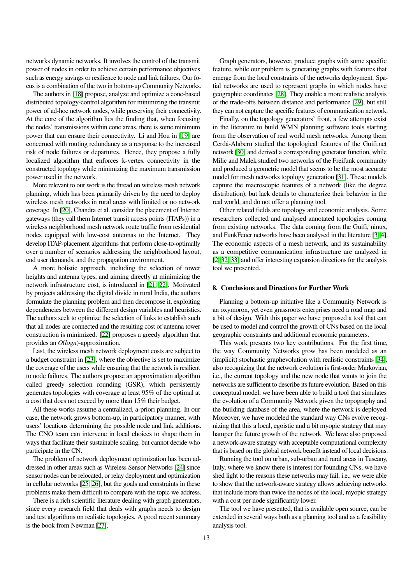networks dynamic networks. It involves the control of the transmit power of nodes in order to achieve certain performance objectives such as energy savings or resilience to node and link failures. Our focus is a combination of the two in bottom-up Community Networks.

The authors in [\[18\]](#page-13-17) propose, analyze and optimize a cone-based distributed topology-control algorithm for minimizing the transmit power of ad-hoc network nodes, while preserving their connectivity. At the core of the algorithm lies the finding that, when focusing the nodes' transmissions within cone areas, there is some minimum power that can ensure their connectivity. Li and Hou in [\[19\]](#page-13-18) are concerned with routing redundancy as a response to the increased risk of node failures or departures. Hence, they propose a fully localized algorithm that enforces k-vertex connectivity in the constructed topology while minimizing the maximum transmission power used in the network.

More relevant to our work is the thread on wireless mesh network planning, which has been primarily driven by the need to deploy wireless mesh networks in rural areas with limited or no network coverage. In [\[20\]](#page-13-19), Chandra et al. consider the placement of Internet gateways (they call them Internet transit access points (ITAPs)) in a wireless neighborhood mesh network route traffic from residential nodes equipped with low-cost antennas to the Internet. They develop ITAP-placement algorithms that perform close-to-optimally over a number of scenarios addressing the neighborhood layout, end user demands, and the propagation environment.

A more holistic approach, including the selection of tower heights and antenna types, and aiming directly at minimizing the network infrastructure cost, is introduced in [\[21,](#page-13-20) [22\]](#page-13-21). Motivated by projects addressing the digital divide in rural India, the authors formulate the planning problem and then decompose it, exploiting dependencies between the different design variables and heuristics. The authors seek to optimize the selection of links to establish such that all nodes are connected and the resulting cost of antenna tower construction is minimized. [\[22\]](#page-13-21) proposes a greedy algorithm that provides an *O*(*logn*)-approximation.

Last, the wireless mesh network deployment costs are subject to a budget constraint in [\[23\]](#page-13-22), where the objective is set to maximize the coverage of the users while ensuring that the network is resilient to node failures. The authors propose an approximation algorithm called greedy selection rounding (GSR), which persistently generates topologies with coverage at least 95% of the optimal at a cost that does not exceed by more than 15% their budget.

All these works assume a centralized, a-priori planning. In our case, the network grows bottom-up, in participatory manner, with users' locations determining the possible node and link additions. The CNO team can intervene in local choices to shape them in ways that facilitate their sustainable scaling, but cannot decide who participate in the CN.

The problem of network deployment optimization has been addressed in other areas such as Wireless Sensor Networks [\[24\]](#page-13-23) since sensor nodes can be relocated, or relay deployment and optimization in cellular networks [\[25,](#page-13-24) [26\]](#page-13-25), but the goals and constraints in these problems make them difficult to compare with the topic we address.

There is a rich scientific literature dealing with graph generators, since every research field that deals with graphs needs to design and test algorithms on realistic topologies. A good recent summary is the book from Newman [\[27\]](#page-13-26).

Graph generators, however, produce graphs with some specific feature, while our problem is generating graphs with features that emerge from the local constraints of the networks deployment. Spatial networks are used to represent graphs in which nodes have geographic coordinates [\[28\]](#page-13-27). They enable a more realistic analysis of the trade-offs between distance and performance [\[29\]](#page-13-28), but still they can not capture the specific features of communication network.

Finally, on the topology generators' front, a few attempts exist in the literature to build WMN planning software tools starting from the observation of real world mesh networks. Among them Cerda-Alabern studied the topological features of the Guifi.net ´ network [\[30\]](#page-13-29) and derived a corresponding generator function, while Milic and Malek studied two networks of the Freifunk community and produced a geometric model that seems to be the most accurate model for mesh networks topology generation [\[31\]](#page-13-30). These models capture the macroscopic features of a network (like the degree distribution), but lack details to characterize their behavior in the real world, and do not offer a planning tool.

Other related fields are topology and economic analysis. Some researchers collected and analysed annotated topologies coming from existing networks. The data coming from the Guifi, ninux, and FunkFeuer networks have been analysed in the literature [\[3,](#page-13-2) [4\]](#page-13-3). The economic aspects of a mesh network, and its sustainability as a competitive communication infrastructure are analyzed in [\[2,](#page-13-1) [32,](#page-13-31) [33\]](#page-13-32) and offer interesting expansion directions for the analysis tool we presented.

## <span id="page-12-0"></span>8. Conclusions and Directions for Further Work

Planning a bottom-up initiative like a Community Network is an oxymoron, yet even grassroots enterprises need a road map and a bit of design. With this paper we have proposed a tool that can be used to model and control the growth of CNs based on the local geographic constraints and additional economic parameters.

This work presents two key contributions. For the first time, the way Community Networks grow has been modeled as an (implicit) stochastic graphevolution with realistic constraints [\[34\]](#page-13-33), also recognizing that the network evolution is first-order Markovian, i.e., the current topology and the new node that wants to join the networks are sufficient to describe its future evolution. Based on this conceptual model, we have been able to build a tool that simulates the evolution of a Community Network given the topography and the building database of the area, where the network is deployed. Moreover, we have modeled the standard way CNs evolve recognizing that this a local, egoistic and a bit myopic strategy that may hamper the future growth of the network. We have also proposed a network-aware strategy with acceptable computational complexity that is based on the global network benefit instead of local decisions.

Running the tool on urban, sub-urban and rural areas in Tuscany, Italy, where we know there is interest for founding CNs, we have shed light to the reasons these networks may fail, i.e., we were able to show that the network-aware strategy allows achieving networks that include more than twice the nodes of the local, myopic strategy with a cost per node significantly lower.

The tool we have presented, that is available open source, can be extended in several ways both as a planning tool and as a feasibility analysis tool.